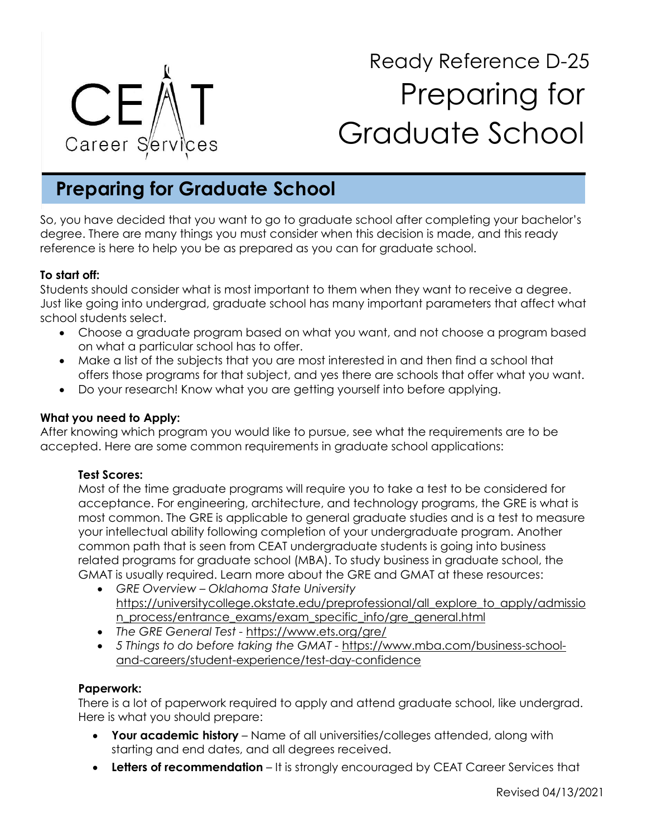

# Ready Reference D-25 Preparing for Graduate School

# **Preparing for Graduate School**

So, you have decided that you want to go to graduate school after completing your bachelor's degree. There are many things you must consider when this decision is made, and this ready reference is here to help you be as prepared as you can for graduate school.

#### **To start off:**

Students should consider what is most important to them when they want to receive a degree. Just like going into undergrad, graduate school has many important parameters that affect what school students select.

- Choose a graduate program based on what you want, and not choose a program based on what a particular school has to offer.
- Make a list of the subjects that you are most interested in and then find a school that offers those programs for that subject, and yes there are schools that offer what you want.
- Do your research! Know what you are getting yourself into before applying.

#### **What you need to Apply:**

After knowing which program you would like to pursue, see what the requirements are to be accepted. Here are some common requirements in graduate school applications:

#### **Test Scores:**

Most of the time graduate programs will require you to take a test to be considered for acceptance. For engineering, architecture, and technology programs, the GRE is what is most common. The GRE is applicable to general graduate studies and is a test to measure your intellectual ability following completion of your undergraduate program. Another common path that is seen from CEAT undergraduate students is going into business related programs for graduate school (MBA). To study business in graduate school, the GMAT is usually required. Learn more about the GRE and GMAT at these resources:

- *GRE Overview – Oklahoma State University*  [https://universitycollege.okstate.edu/preprofessional/all\\_explore\\_to\\_apply/admissio](https://universitycollege.okstate.edu/preprofessional/all_explore_to_apply/admission_process/entrance_exams/exam_specific_info/gre_general.html) [n\\_process/entrance\\_exams/exam\\_specific\\_info/gre\\_general.html](https://universitycollege.okstate.edu/preprofessional/all_explore_to_apply/admission_process/entrance_exams/exam_specific_info/gre_general.html)
- *The GRE General Test -* <https://www.ets.org/gre/>
- *5 Things to do before taking the GMAT -* https://www.mba.com/business-schooland-careers/student-experience/test-day-confidence

#### **Paperwork:**

There is a lot of paperwork required to apply and attend graduate school, like undergrad. Here is what you should prepare:

- **Your academic history** Name of all universities/colleges attended, along with starting and end dates, and all degrees received.
- **Letters of recommendation** It is strongly encouraged by CEAT Career Services that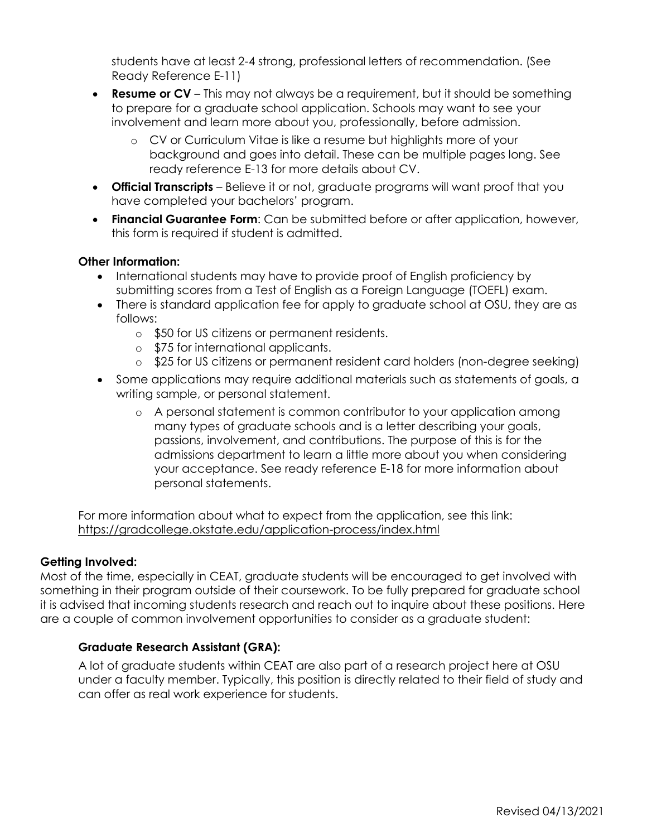students have at least 2-4 strong, professional letters of recommendation. (See Ready Reference E-11)

- **Resume or CV** This may not always be a requirement, but it should be something to prepare for a graduate school application. Schools may want to see your involvement and learn more about you, professionally, before admission.
	- o CV or Curriculum Vitae is like a resume but highlights more of your background and goes into detail. These can be multiple pages long. See ready reference E-13 for more details about CV.
- **Official Transcripts** Believe it or not, graduate programs will want proof that you have completed your bachelors' program.
- **Financial Guarantee Form**: Can be submitted before or after application, however, this form is required if student is admitted.

#### **Other Information:**

- International students may have to provide proof of English proficiency by submitting scores from a Test of English as a Foreign Language (TOEFL) exam.
- There is standard application fee for apply to graduate school at OSU, they are as follows:
	- o \$50 for US citizens or permanent residents.
	- o \$75 for international applicants.
	- o \$25 for US citizens or permanent resident card holders (non-degree seeking)
- Some applications may require additional materials such as statements of goals, a writing sample, or personal statement.
	- o A personal statement is common contributor to your application among many types of graduate schools and is a letter describing your goals, passions, involvement, and contributions. The purpose of this is for the admissions department to learn a little more about you when considering your acceptance. See ready reference E-18 for more information about personal statements.

For more information about what to expect from the application, see this link: <https://gradcollege.okstate.edu/application-process/index.html>

#### **Getting Involved:**

Most of the time, especially in CEAT, graduate students will be encouraged to get involved with something in their program outside of their coursework. To be fully prepared for graduate school it is advised that incoming students research and reach out to inquire about these positions. Here are a couple of common involvement opportunities to consider as a graduate student:

## **Graduate Research Assistant (GRA):**

A lot of graduate students within CEAT are also part of a research project here at OSU under a faculty member. Typically, this position is directly related to their field of study and can offer as real work experience for students.